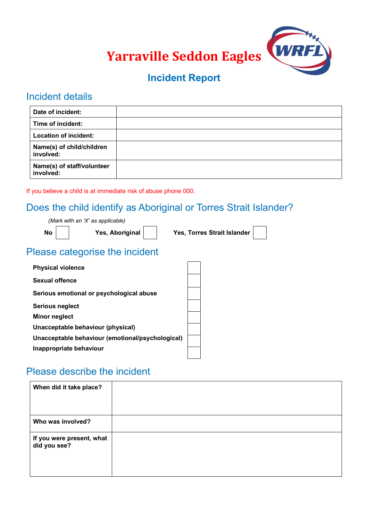

# **Incident Report**

### Incident details

| Date of incident:                       |  |
|-----------------------------------------|--|
| Time of incident:                       |  |
| <b>Location of incident:</b>            |  |
| Name(s) of child/children<br>involved:  |  |
| Name(s) of staff/volunteer<br>involved: |  |

If you believe a child is at immediate risk of abuse phone 000.

# Does the child identify as Aboriginal or Torres Strait Islander?

*(Mark with an 'X' as applicable)*

**No Yes, Aboriginal Yes, Torres Strait Islander**

# Please categorise the incident

| <b>Physical violence</b>                         |  |
|--------------------------------------------------|--|
| Sexual offence                                   |  |
| Serious emotional or psychological abuse         |  |
| Serious neglect                                  |  |
| Minor neglect                                    |  |
| Unacceptable behaviour (physical)                |  |
| Unacceptable behaviour (emotional/psychological) |  |
| Inappropriate behaviour                          |  |

# Please describe the incident

| When did it take place?                   |  |
|-------------------------------------------|--|
| Who was involved?                         |  |
| If you were present, what<br>did you see? |  |